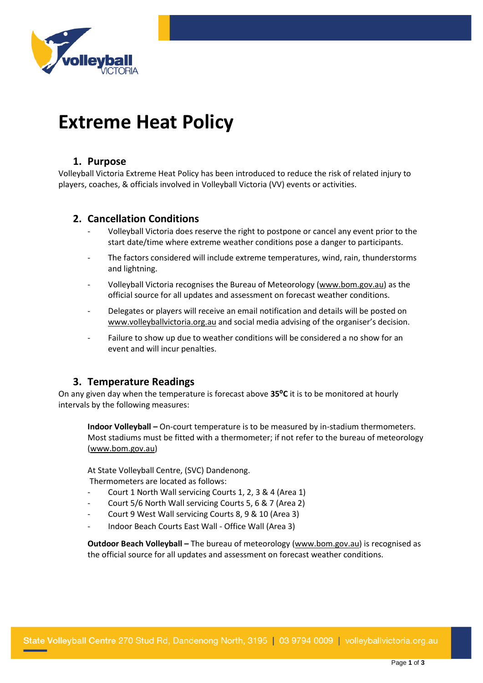

# **Extreme Heat Policy**

# **1. Purpose**

Volleyball Victoria Extreme Heat Policy has been introduced to reduce the risk of related injury to players, coaches, & officials involved in Volleyball Victoria (VV) events or activities.

# **2. Cancellation Conditions**

- Volleyball Victoria does reserve the right to postpone or cancel any event prior to the start date/time where extreme weather conditions pose a danger to participants.
- The factors considered will include extreme temperatures, wind, rain, thunderstorms and lightning.
- Volleyball Victoria recognises the Bureau of Meteorology [\(www.bom.gov.au\)](http://www.bom.gov.au/) as the official source for all updates and assessment on forecast weather conditions.
- Delegates or players will receive an email notification and details will be posted on [www.volleyballvictoria.org.au](http://www.volleyballvictoria.org.au/) and social media advising of the organiser's decision.
- Failure to show up due to weather conditions will be considered a no show for an event and will incur penalties.

# **3. Temperature Readings**

On any given day when the temperature is forecast above **35⁰C** it is to be monitored at hourly intervals by the following measures:

**Indoor Volleyball –** On-court temperature is to be measured by in-stadium thermometers. Most stadiums must be fitted with a thermometer; if not refer to the bureau of meteorology [\(www.bom.gov.au\)](http://www.bom.gov.au/)

At State Volleyball Centre, (SVC) Dandenong. Thermometers are located as follows:

- Court 1 North Wall servicing Courts 1, 2, 3 & 4 (Area 1)
- Court 5/6 North Wall servicing Courts 5, 6 & 7 (Area 2)
- Court 9 West Wall servicing Courts 8, 9 & 10 (Area 3)
- Indoor Beach Courts East Wall Office Wall (Area 3)

**Outdoor Beach Volleyball –** The bureau of meteorology [\(www.bom.gov.au\)](http://www.bom.gov.au/) is recognised as the official source for all updates and assessment on forecast weather conditions.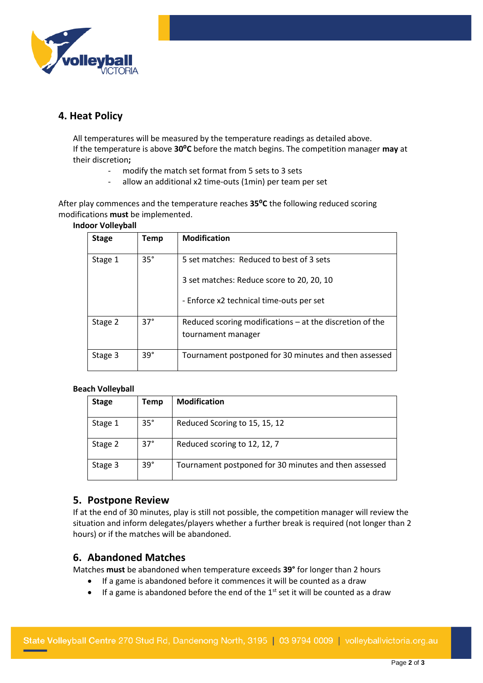

# **4. Heat Policy**

All temperatures will be measured by the temperature readings as detailed above. If the temperature is above **30⁰C** before the match begins. The competition manager **may** at their discretion**;**

- modify the match set format from 5 sets to 3 sets
- allow an additional x2 time-outs (1min) per team per set

After play commences and the temperature reaches **35⁰C** the following reduced scoring modifications **must** be implemented.

### **Indoor Volleyball**

| <b>Stage</b> | Temp       | <b>Modification</b>                                                                   |
|--------------|------------|---------------------------------------------------------------------------------------|
| Stage 1      | $35^\circ$ | 5 set matches: Reduced to best of 3 sets                                              |
|              |            | 3 set matches: Reduce score to 20, 20, 10<br>- Enforce x2 technical time-outs per set |
| Stage 2      | $37^\circ$ | Reduced scoring modifications $-$ at the discretion of the<br>tournament manager      |
| Stage 3      | $39^\circ$ | Tournament postponed for 30 minutes and then assessed                                 |

### **Beach Volleyball**

| <b>Stage</b> | Temp       | <b>Modification</b>                                   |
|--------------|------------|-------------------------------------------------------|
| Stage 1      | $35^\circ$ | Reduced Scoring to 15, 15, 12                         |
| Stage 2      | $37^\circ$ | Reduced scoring to 12, 12, 7                          |
| Stage 3      | $39^\circ$ | Tournament postponed for 30 minutes and then assessed |

## **5. Postpone Review**

If at the end of 30 minutes, play is still not possible, the competition manager will review the situation and inform delegates/players whether a further break is required (not longer than 2 hours) or if the matches will be abandoned.

## **6. Abandoned Matches**

Matches **must** be abandoned when temperature exceeds **39°** for longer than 2 hours

- If a game is abandoned before it commences it will be counted as a draw
- If a game is abandoned before the end of the  $1<sup>st</sup>$  set it will be counted as a draw